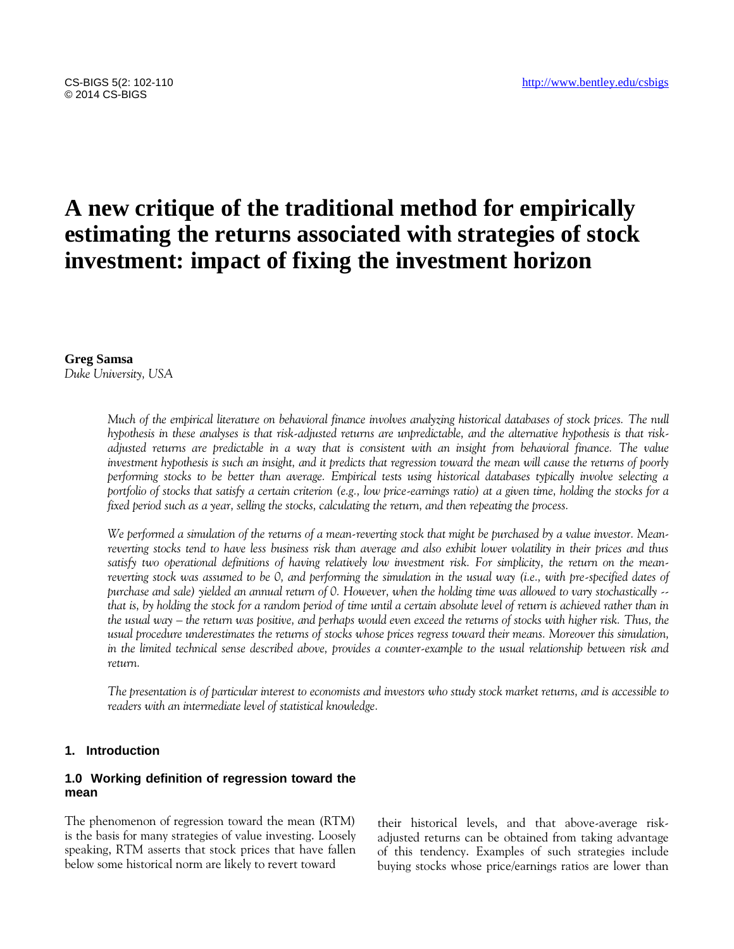# **A new critique of the traditional method for empirically estimating the returns associated with strategies of stock investment: impact of fixing the investment horizon**

**Greg Samsa** *Duke University, USA*

> *Much of the empirical literature on behavioral finance involves analyzing historical databases of stock prices. The null hypothesis in these analyses is that risk-adjusted returns are unpredictable, and the alternative hypothesis is that riskadjusted returns are predictable in a way that is consistent with an insight from behavioral finance. The value investment hypothesis is such an insight, and it predicts that regression toward the mean will cause the returns of poorly performing stocks to be better than average. Empirical tests using historical databases typically involve selecting a portfolio of stocks that satisfy a certain criterion (e.g., low price-earnings ratio) at a given time, holding the stocks for a fixed period such as a year, selling the stocks, calculating the return, and then repeating the process.*

> *We performed a simulation of the returns of a mean-reverting stock that might be purchased by a value investor. Meanreverting stocks tend to have less business risk than average and also exhibit lower volatility in their prices and thus satisfy two operational definitions of having relatively low investment risk. For simplicity, the return on the meanreverting stock was assumed to be 0, and performing the simulation in the usual way (i.e., with pre-specified dates of purchase and sale) yielded an annual return of 0. However, when the holding time was allowed to vary stochastically - that is, by holding the stock for a random period of time until a certain absolute level of return is achieved rather than in the usual way – the return was positive, and perhaps would even exceed the returns of stocks with higher risk. Thus, the usual procedure underestimates the returns of stocks whose prices regress toward their means. Moreover this simulation, in the limited technical sense described above, provides a counter-example to the usual relationship between risk and return.*

> *The presentation is of particular interest to economists and investors who study stock market returns, and is accessible to readers with an intermediate level of statistical knowledge.*

#### **1. Introduction**

# **1.0 Working definition of regression toward the mean**

The phenomenon of regression toward the mean (RTM) is the basis for many strategies of value investing. Loosely speaking, RTM asserts that stock prices that have fallen below some historical norm are likely to revert toward

their historical levels, and that above-average riskadjusted returns can be obtained from taking advantage of this tendency. Examples of such strategies include buying stocks whose price/earnings ratios are lower than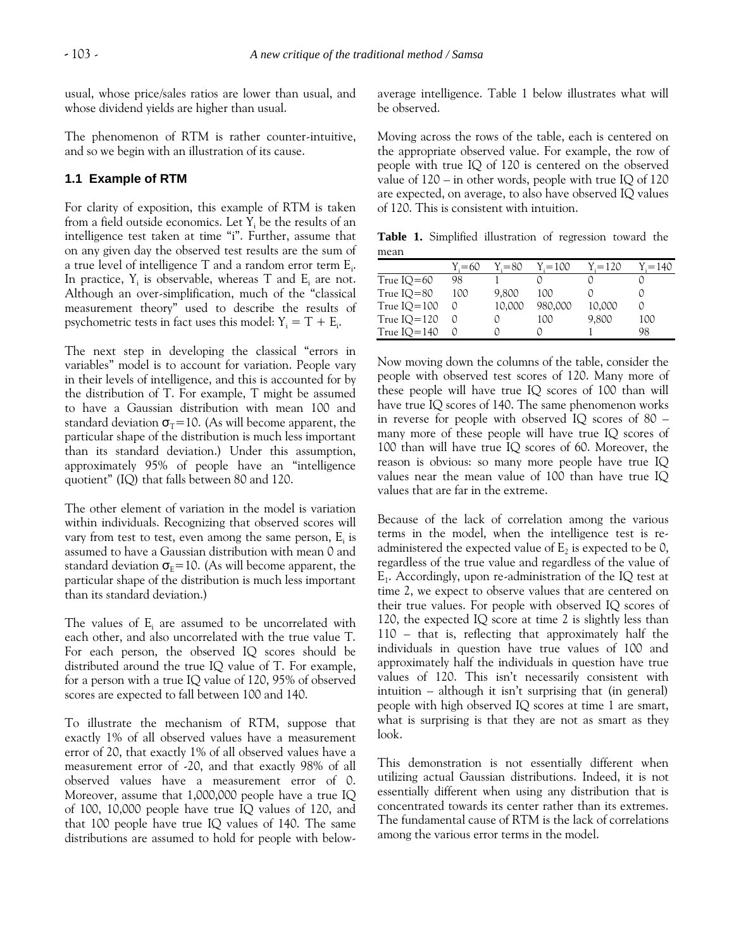usual, whose price/sales ratios are lower than usual, and whose dividend yields are higher than usual.

The phenomenon of RTM is rather counter-intuitive, and so we begin with an illustration of its cause.

#### **1.1 Example of RTM**

For clarity of exposition, this example of RTM is taken from a field outside economics. Let  $Y_i$  be the results of an intelligence test taken at time "i". Further, assume that on any given day the observed test results are the sum of a true level of intelligence T and a random error term  $\mathrm{E_{i}.}$ In practice,  $Y_i$  is observable, whereas T and  $E_i$  are not. Although an over-simplification, much of the "classical measurement theory" used to describe the results of psychometric tests in fact uses this model:  $Y_i = T + E_i$ .

The next step in developing the classical "errors in variables" model is to account for variation. People vary in their levels of intelligence, and this is accounted for by the distribution of T. For example, T might be assumed to have a Gaussian distribution with mean 100 and standard deviation  $\sigma$ <sub>T</sub>=10. (As will become apparent, the particular shape of the distribution is much less important than its standard deviation.) Under this assumption, approximately 95% of people have an "intelligence quotient" (IQ) that falls between 80 and 120.

The other element of variation in the model is variation within individuals. Recognizing that observed scores will vary from test to test, even among the same person,  $E_i$  is assumed to have a Gaussian distribution with mean 0 and standard deviation  $\sigma_{\rm E}=10$ . (As will become apparent, the particular shape of the distribution is much less important than its standard deviation.)

The values of  $E_i$  are assumed to be uncorrelated with each other, and also uncorrelated with the true value T. For each person, the observed IQ scores should be distributed around the true IQ value of T. For example, for a person with a true IQ value of 120, 95% of observed scores are expected to fall between 100 and 140.

To illustrate the mechanism of RTM, suppose that exactly 1% of all observed values have a measurement error of 20, that exactly 1% of all observed values have a measurement error of -20, and that exactly 98% of all observed values have a measurement error of 0. Moreover, assume that 1,000,000 people have a true IQ of 100, 10,000 people have true IQ values of 120, and that 100 people have true IQ values of 140. The same distributions are assumed to hold for people with belowaverage intelligence. Table 1 below illustrates what will be observed.

Moving across the rows of the table, each is centered on the appropriate observed value. For example, the row of people with true IQ of 120 is centered on the observed value of 120 – in other words, people with true IQ of 120 are expected, on average, to also have observed IQ values of 120. This is consistent with intuition.

**Table 1.** Simplified illustration of regression toward the mean

|                | $Y = 60$ | $Y = 80$ | $Y_i = 100$ | Y.=120 | Y.=140 |
|----------------|----------|----------|-------------|--------|--------|
| True $IO=60$   | 98       |          |             |        |        |
| True $IO = 80$ | 100      | 9,800    | 100         |        |        |
| True $IO=100$  |          | 10,000   | 980,000     | 10,000 |        |
| True $IO=120$  |          |          | 100         | 9,800  | 100    |
| True $IQ=140$  |          |          |             |        | 98     |

Now moving down the columns of the table, consider the people with observed test scores of 120. Many more of these people will have true IQ scores of 100 than will have true IQ scores of 140. The same phenomenon works in reverse for people with observed IQ scores of 80 – many more of these people will have true IQ scores of 100 than will have true IQ scores of 60. Moreover, the reason is obvious: so many more people have true IQ values near the mean value of 100 than have true IQ values that are far in the extreme.

Because of the lack of correlation among the various terms in the model, when the intelligence test is readministered the expected value of  $\mathrm{E}_2$  is expected to be 0, regardless of the true value and regardless of the value of  $E_1$ . Accordingly, upon re-administration of the IQ test at time 2, we expect to observe values that are centered on their true values. For people with observed IQ scores of 120, the expected IQ score at time 2 is slightly less than 110 – that is, reflecting that approximately half the individuals in question have true values of 100 and approximately half the individuals in question have true values of 120. This isn't necessarily consistent with intuition – although it isn't surprising that (in general) people with high observed IQ scores at time 1 are smart, what is surprising is that they are not as smart as they look.

This demonstration is not essentially different when utilizing actual Gaussian distributions. Indeed, it is not essentially different when using any distribution that is concentrated towards its center rather than its extremes. The fundamental cause of RTM is the lack of correlations among the various error terms in the model.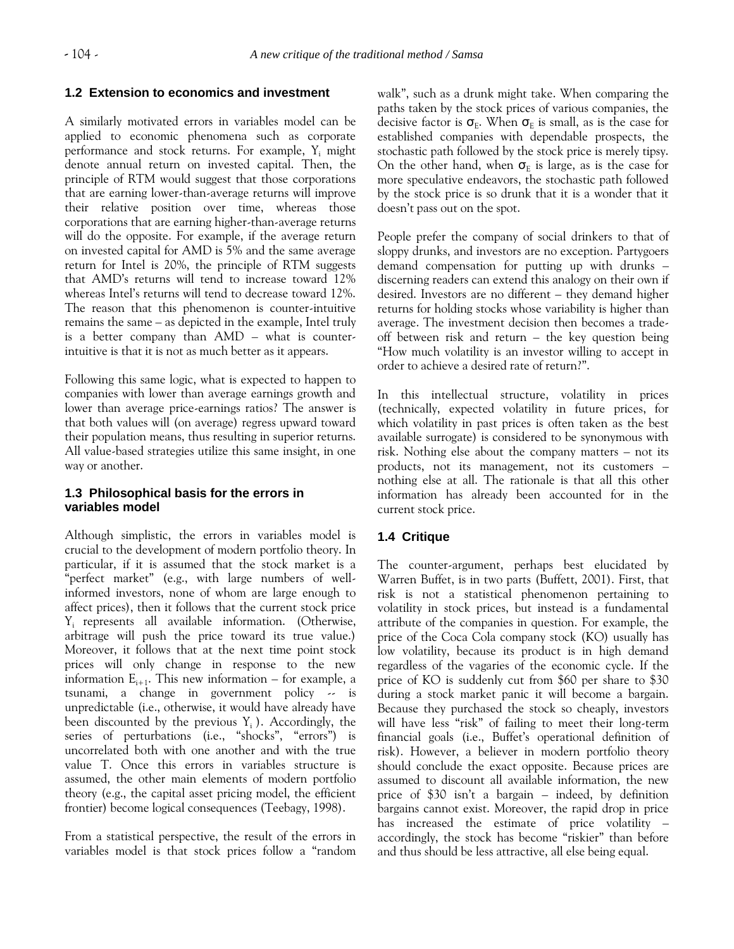## **1.2 Extension to economics and investment**

A similarly motivated errors in variables model can be applied to economic phenomena such as corporate performance and stock returns. For example,  $Y_i$  might denote annual return on invested capital. Then, the principle of RTM would suggest that those corporations that are earning lower-than-average returns will improve their relative position over time, whereas those corporations that are earning higher-than-average returns will do the opposite. For example, if the average return on invested capital for AMD is 5% and the same average return for Intel is 20%, the principle of RTM suggests that AMD's returns will tend to increase toward 12% whereas Intel's returns will tend to decrease toward 12%. The reason that this phenomenon is counter-intuitive remains the same – as depicted in the example, Intel truly is a better company than AMD – what is counterintuitive is that it is not as much better as it appears.

Following this same logic, what is expected to happen to companies with lower than average earnings growth and lower than average price-earnings ratios? The answer is that both values will (on average) regress upward toward their population means, thus resulting in superior returns. All value-based strategies utilize this same insight, in one way or another.

## **1.3 Philosophical basis for the errors in variables model**

Although simplistic, the errors in variables model is crucial to the development of modern portfolio theory. In particular, if it is assumed that the stock market is a "perfect market" (e.g., with large numbers of wellinformed investors, none of whom are large enough to affect prices), then it follows that the current stock price Yi represents all available information. (Otherwise, arbitrage will push the price toward its true value.) Moreover, it follows that at the next time point stock prices will only change in response to the new information  $E_{i+1}$ . This new information – for example, a tsunami, a change in government policy -- is unpredictable (i.e., otherwise, it would have already have been discounted by the previous  $Y_i$ ). Accordingly, the series of perturbations (i.e., "shocks", "errors") is uncorrelated both with one another and with the true value T. Once this errors in variables structure is assumed, the other main elements of modern portfolio theory (e.g., the capital asset pricing model, the efficient frontier) become logical consequences (Teebagy, 1998).

From a statistical perspective, the result of the errors in variables model is that stock prices follow a "random walk", such as a drunk might take. When comparing the paths taken by the stock prices of various companies, the decisive factor is  $\sigma_{E}$ . When  $\sigma_{E}$  is small, as is the case for established companies with dependable prospects, the stochastic path followed by the stock price is merely tipsy. On the other hand, when  $\sigma_E$  is large, as is the case for more speculative endeavors, the stochastic path followed by the stock price is so drunk that it is a wonder that it doesn't pass out on the spot.

People prefer the company of social drinkers to that of sloppy drunks, and investors are no exception. Partygoers demand compensation for putting up with drunks – discerning readers can extend this analogy on their own if desired. Investors are no different – they demand higher returns for holding stocks whose variability is higher than average. The investment decision then becomes a tradeoff between risk and return – the key question being "How much volatility is an investor willing to accept in order to achieve a desired rate of return?".

In this intellectual structure, volatility in prices (technically, expected volatility in future prices, for which volatility in past prices is often taken as the best available surrogate) is considered to be synonymous with risk. Nothing else about the company matters – not its products, not its management, not its customers – nothing else at all. The rationale is that all this other information has already been accounted for in the current stock price.

# **1.4 Critique**

The counter-argument, perhaps best elucidated by Warren Buffet, is in two parts (Buffett, 2001). First, that risk is not a statistical phenomenon pertaining to volatility in stock prices, but instead is a fundamental attribute of the companies in question. For example, the price of the Coca Cola company stock (KO) usually has low volatility, because its product is in high demand regardless of the vagaries of the economic cycle. If the price of KO is suddenly cut from \$60 per share to \$30 during a stock market panic it will become a bargain. Because they purchased the stock so cheaply, investors will have less "risk" of failing to meet their long-term financial goals (i.e., Buffet's operational definition of risk). However, a believer in modern portfolio theory should conclude the exact opposite. Because prices are assumed to discount all available information, the new price of \$30 isn't a bargain – indeed, by definition bargains cannot exist. Moreover, the rapid drop in price has increased the estimate of price volatility accordingly, the stock has become "riskier" than before and thus should be less attractive, all else being equal.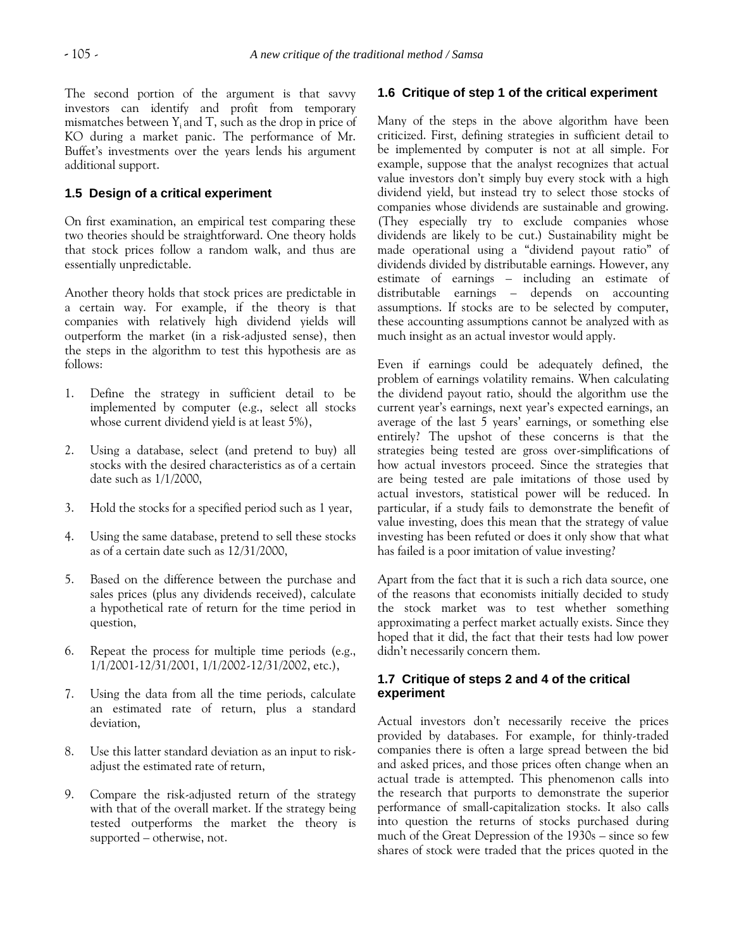The second portion of the argument is that savvy investors can identify and profit from temporary mismatches between  $Y_i$  and T, such as the drop in price of KO during a market panic. The performance of Mr. Buffet's investments over the years lends his argument additional support.

# **1.5 Design of a critical experiment**

On first examination, an empirical test comparing these two theories should be straightforward. One theory holds that stock prices follow a random walk, and thus are essentially unpredictable.

Another theory holds that stock prices are predictable in a certain way. For example, if the theory is that companies with relatively high dividend yields will outperform the market (in a risk-adjusted sense), then the steps in the algorithm to test this hypothesis are as follows:

- 1. Define the strategy in sufficient detail to be implemented by computer (e.g., select all stocks whose current dividend yield is at least 5%),
- 2. Using a database, select (and pretend to buy) all stocks with the desired characteristics as of a certain date such as 1/1/2000,
- 3. Hold the stocks for a specified period such as 1 year,
- 4. Using the same database, pretend to sell these stocks as of a certain date such as 12/31/2000,
- 5. Based on the difference between the purchase and sales prices (plus any dividends received), calculate a hypothetical rate of return for the time period in question,
- 6. Repeat the process for multiple time periods (e.g., 1/1/2001-12/31/2001, 1/1/2002-12/31/2002, etc.),
- 7. Using the data from all the time periods, calculate an estimated rate of return, plus a standard deviation,
- 8. Use this latter standard deviation as an input to riskadjust the estimated rate of return,
- 9. Compare the risk-adjusted return of the strategy with that of the overall market. If the strategy being tested outperforms the market the theory is supported – otherwise, not.

## **1.6 Critique of step 1 of the critical experiment**

Many of the steps in the above algorithm have been criticized. First, defining strategies in sufficient detail to be implemented by computer is not at all simple. For example, suppose that the analyst recognizes that actual value investors don't simply buy every stock with a high dividend yield, but instead try to select those stocks of companies whose dividends are sustainable and growing. (They especially try to exclude companies whose dividends are likely to be cut.) Sustainability might be made operational using a "dividend payout ratio" of dividends divided by distributable earnings. However, any estimate of earnings – including an estimate of distributable earnings – depends on accounting assumptions. If stocks are to be selected by computer, these accounting assumptions cannot be analyzed with as much insight as an actual investor would apply.

Even if earnings could be adequately defined, the problem of earnings volatility remains. When calculating the dividend payout ratio, should the algorithm use the current year's earnings, next year's expected earnings, an average of the last 5 years' earnings, or something else entirely? The upshot of these concerns is that the strategies being tested are gross over-simplifications of how actual investors proceed. Since the strategies that are being tested are pale imitations of those used by actual investors, statistical power will be reduced. In particular, if a study fails to demonstrate the benefit of value investing, does this mean that the strategy of value investing has been refuted or does it only show that what has failed is a poor imitation of value investing?

Apart from the fact that it is such a rich data source, one of the reasons that economists initially decided to study the stock market was to test whether something approximating a perfect market actually exists. Since they hoped that it did, the fact that their tests had low power didn't necessarily concern them.

# **1.7 Critique of steps 2 and 4 of the critical experiment**

Actual investors don't necessarily receive the prices provided by databases. For example, for thinly-traded companies there is often a large spread between the bid and asked prices, and those prices often change when an actual trade is attempted. This phenomenon calls into the research that purports to demonstrate the superior performance of small-capitalization stocks. It also calls into question the returns of stocks purchased during much of the Great Depression of the 1930s – since so few shares of stock were traded that the prices quoted in the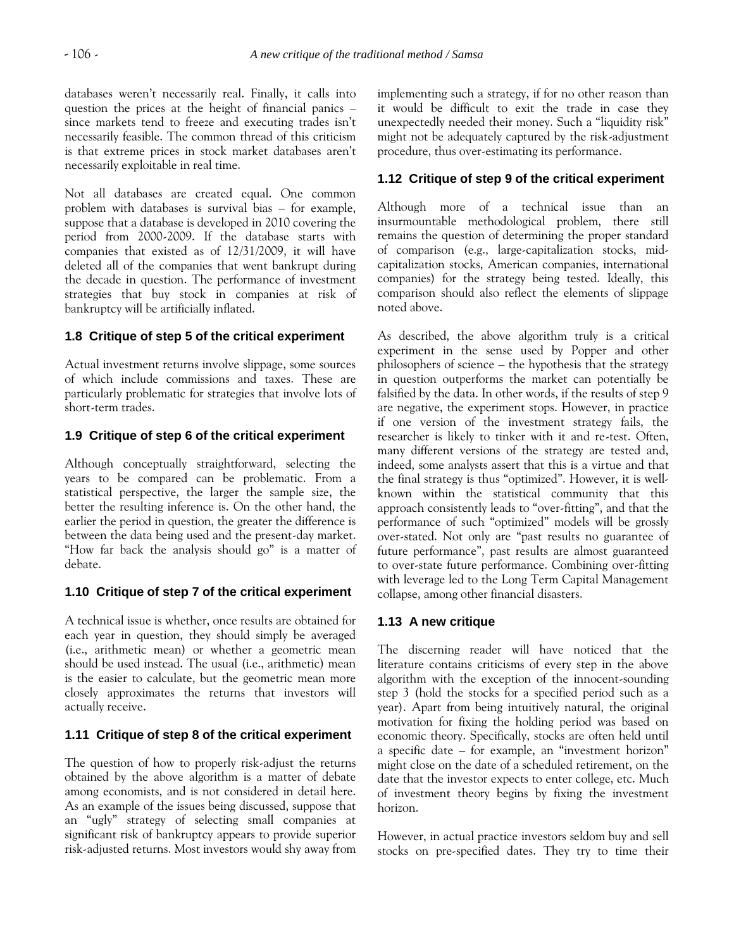databases weren't necessarily real. Finally, it calls into question the prices at the height of financial panics – since markets tend to freeze and executing trades isn't necessarily feasible. The common thread of this criticism is that extreme prices in stock market databases aren't necessarily exploitable in real time.

Not all databases are created equal. One common problem with databases is survival bias – for example, suppose that a database is developed in 2010 covering the period from 2000-2009. If the database starts with companies that existed as of 12/31/2009, it will have deleted all of the companies that went bankrupt during the decade in question. The performance of investment strategies that buy stock in companies at risk of bankruptcy will be artificially inflated.

# **1.8 Critique of step 5 of the critical experiment**

Actual investment returns involve slippage, some sources of which include commissions and taxes. These are particularly problematic for strategies that involve lots of short-term trades.

## **1.9 Critique of step 6 of the critical experiment**

Although conceptually straightforward, selecting the years to be compared can be problematic. From a statistical perspective, the larger the sample size, the better the resulting inference is. On the other hand, the earlier the period in question, the greater the difference is between the data being used and the present-day market. "How far back the analysis should go" is a matter of debate.

# **1.10 Critique of step 7 of the critical experiment**

A technical issue is whether, once results are obtained for each year in question, they should simply be averaged (i.e., arithmetic mean) or whether a geometric mean should be used instead. The usual (i.e., arithmetic) mean is the easier to calculate, but the geometric mean more closely approximates the returns that investors will actually receive.

# **1.11 Critique of step 8 of the critical experiment**

The question of how to properly risk-adjust the returns obtained by the above algorithm is a matter of debate among economists, and is not considered in detail here. As an example of the issues being discussed, suppose that an "ugly" strategy of selecting small companies at significant risk of bankruptcy appears to provide superior risk-adjusted returns. Most investors would shy away from implementing such a strategy, if for no other reason than it would be difficult to exit the trade in case they unexpectedly needed their money. Such a "liquidity risk" might not be adequately captured by the risk-adjustment procedure, thus over-estimating its performance.

# **1.12 Critique of step 9 of the critical experiment**

Although more of a technical issue than an insurmountable methodological problem, there still remains the question of determining the proper standard of comparison (e.g., large-capitalization stocks, midcapitalization stocks, American companies, international companies) for the strategy being tested. Ideally, this comparison should also reflect the elements of slippage noted above.

As described, the above algorithm truly is a critical experiment in the sense used by Popper and other philosophers of science – the hypothesis that the strategy in question outperforms the market can potentially be falsified by the data. In other words, if the results of step 9 are negative, the experiment stops. However, in practice if one version of the investment strategy fails, the researcher is likely to tinker with it and re-test. Often, many different versions of the strategy are tested and, indeed, some analysts assert that this is a virtue and that the final strategy is thus "optimized". However, it is wellknown within the statistical community that this approach consistently leads to "over-fitting", and that the performance of such "optimized" models will be grossly over-stated. Not only are "past results no guarantee of future performance", past results are almost guaranteed to over-state future performance. Combining over-fitting with leverage led to the Long Term Capital Management collapse, among other financial disasters.

# **1.13 A new critique**

The discerning reader will have noticed that the literature contains criticisms of every step in the above algorithm with the exception of the innocent-sounding step 3 (hold the stocks for a specified period such as a year). Apart from being intuitively natural, the original motivation for fixing the holding period was based on economic theory. Specifically, stocks are often held until a specific date – for example, an "investment horizon" might close on the date of a scheduled retirement, on the date that the investor expects to enter college, etc. Much of investment theory begins by fixing the investment horizon.

However, in actual practice investors seldom buy and sell stocks on pre-specified dates. They try to time their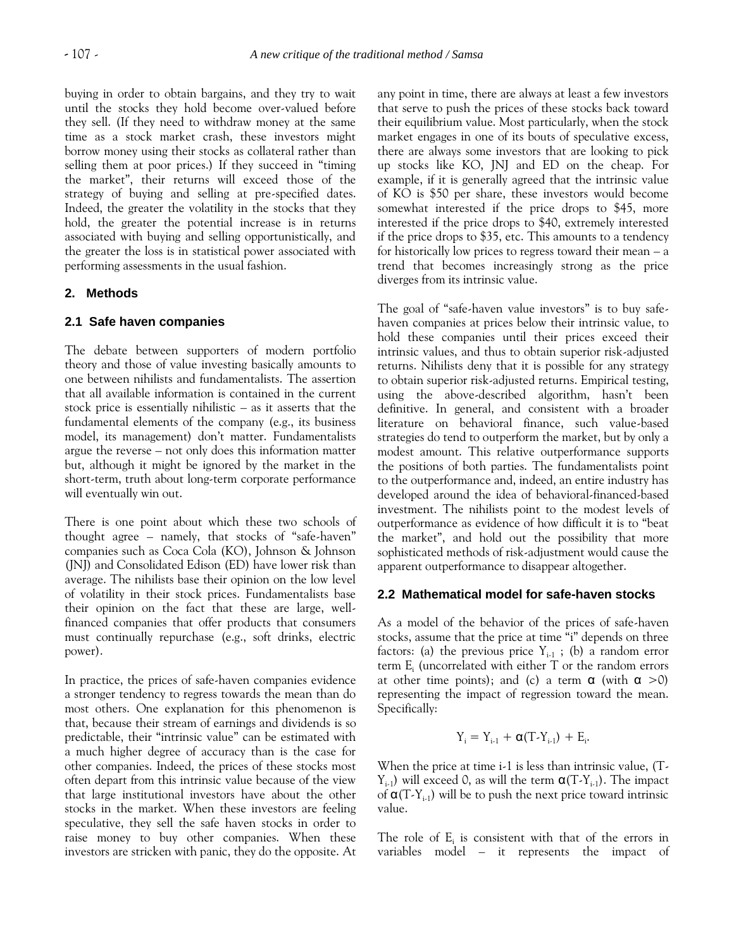buying in order to obtain bargains, and they try to wait until the stocks they hold become over-valued before they sell. (If they need to withdraw money at the same time as a stock market crash, these investors might borrow money using their stocks as collateral rather than selling them at poor prices.) If they succeed in "timing the market", their returns will exceed those of the strategy of buying and selling at pre-specified dates. Indeed, the greater the volatility in the stocks that they hold, the greater the potential increase is in returns associated with buying and selling opportunistically, and the greater the loss is in statistical power associated with performing assessments in the usual fashion.

#### **2. Methods**

#### **2.1 Safe haven companies**

The debate between supporters of modern portfolio theory and those of value investing basically amounts to one between nihilists and fundamentalists. The assertion that all available information is contained in the current stock price is essentially nihilistic – as it asserts that the fundamental elements of the company (e.g., its business model, its management) don't matter. Fundamentalists argue the reverse – not only does this information matter but, although it might be ignored by the market in the short-term, truth about long-term corporate performance will eventually win out.

There is one point about which these two schools of thought agree – namely, that stocks of "safe-haven" companies such as Coca Cola (KO), Johnson & Johnson (JNJ) and Consolidated Edison (ED) have lower risk than average. The nihilists base their opinion on the low level of volatility in their stock prices. Fundamentalists base their opinion on the fact that these are large, wellfinanced companies that offer products that consumers must continually repurchase (e.g., soft drinks, electric power).

In practice, the prices of safe-haven companies evidence a stronger tendency to regress towards the mean than do most others. One explanation for this phenomenon is that, because their stream of earnings and dividends is so predictable, their "intrinsic value" can be estimated with a much higher degree of accuracy than is the case for other companies. Indeed, the prices of these stocks most often depart from this intrinsic value because of the view that large institutional investors have about the other stocks in the market. When these investors are feeling speculative, they sell the safe haven stocks in order to raise money to buy other companies. When these investors are stricken with panic, they do the opposite. At any point in time, there are always at least a few investors that serve to push the prices of these stocks back toward their equilibrium value. Most particularly, when the stock market engages in one of its bouts of speculative excess, there are always some investors that are looking to pick up stocks like KO, JNJ and ED on the cheap. For example, if it is generally agreed that the intrinsic value of KO is \$50 per share, these investors would become somewhat interested if the price drops to \$45, more interested if the price drops to \$40, extremely interested if the price drops to \$35, etc. This amounts to a tendency for historically low prices to regress toward their mean – a trend that becomes increasingly strong as the price diverges from its intrinsic value.

The goal of "safe-haven value investors" is to buy safehaven companies at prices below their intrinsic value, to hold these companies until their prices exceed their intrinsic values, and thus to obtain superior risk-adjusted returns. Nihilists deny that it is possible for any strategy to obtain superior risk-adjusted returns. Empirical testing, using the above-described algorithm, hasn't been definitive. In general, and consistent with a broader literature on behavioral finance, such value-based strategies do tend to outperform the market, but by only a modest amount. This relative outperformance supports the positions of both parties. The fundamentalists point to the outperformance and, indeed, an entire industry has developed around the idea of behavioral-financed-based investment. The nihilists point to the modest levels of outperformance as evidence of how difficult it is to "beat the market", and hold out the possibility that more sophisticated methods of risk-adjustment would cause the apparent outperformance to disappear altogether.

#### **2.2 Mathematical model for safe-haven stocks**

As a model of the behavior of the prices of safe-haven stocks, assume that the price at time "i" depends on three factors: (a) the previous price  $Y_{i-1}$ ; (b) a random error term  $E_i$  (uncorrelated with either  $T$  or the random errors at other time points); and (c) a term  $\alpha$  (with  $\alpha > 0$ ) representing the impact of regression toward the mean. Specifically:

$$
Y_i = Y_{i \cdot 1} + \alpha (T \cdot Y_{i \cdot 1}) + E_i.
$$

When the price at time i-1 is less than intrinsic value, (T- $Y_{i-1}$ ) will exceed 0, as will the term  $\alpha(T-Y_{i-1})$ . The impact of  $\alpha(T-Y_{i-1})$  will be to push the next price toward intrinsic value.

The role of  $E_i$  is consistent with that of the errors in variables model – it represents the impact of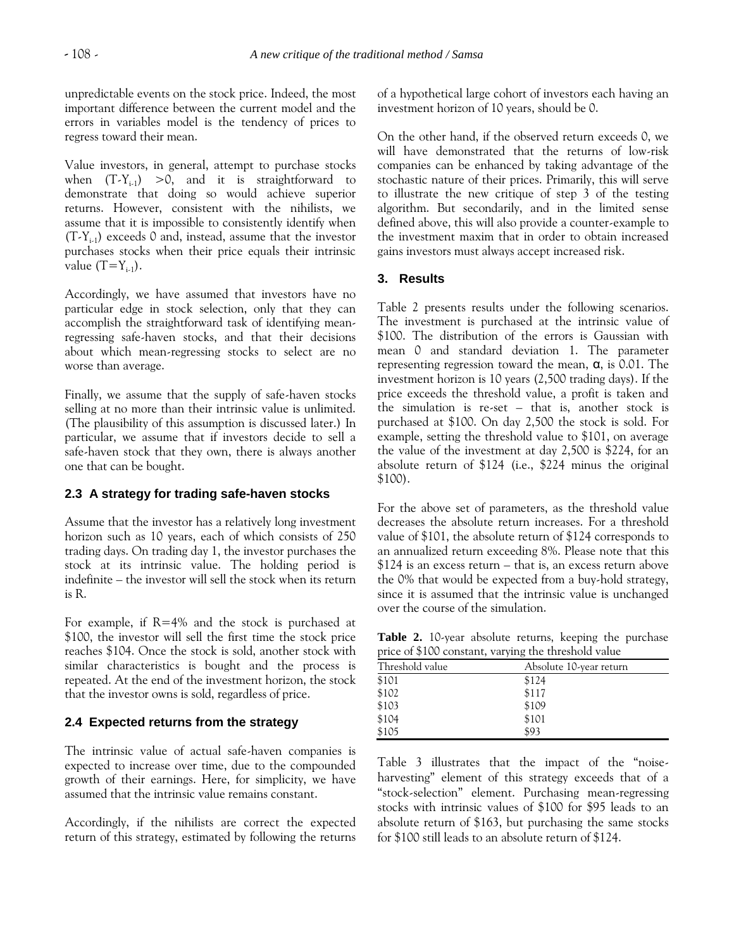unpredictable events on the stock price. Indeed, the most important difference between the current model and the errors in variables model is the tendency of prices to regress toward their mean.

Value investors, in general, attempt to purchase stocks when  $(T-Y_{i-1}) > 0$ , and it is straightforward to demonstrate that doing so would achieve superior returns. However, consistent with the nihilists, we assume that it is impossible to consistently identify when  $(T-Y_{i-1})$  exceeds 0 and, instead, assume that the investor purchases stocks when their price equals their intrinsic value  $(T=Y_{i-1})$ .

Accordingly, we have assumed that investors have no particular edge in stock selection, only that they can accomplish the straightforward task of identifying meanregressing safe-haven stocks, and that their decisions about which mean-regressing stocks to select are no worse than average.

Finally, we assume that the supply of safe-haven stocks selling at no more than their intrinsic value is unlimited. (The plausibility of this assumption is discussed later.) In particular, we assume that if investors decide to sell a safe-haven stock that they own, there is always another one that can be bought.

## **2.3 A strategy for trading safe-haven stocks**

Assume that the investor has a relatively long investment horizon such as 10 years, each of which consists of 250 trading days. On trading day 1, the investor purchases the stock at its intrinsic value. The holding period is indefinite – the investor will sell the stock when its return is R.

For example, if  $R=4\%$  and the stock is purchased at \$100, the investor will sell the first time the stock price reaches \$104. Once the stock is sold, another stock with similar characteristics is bought and the process is repeated. At the end of the investment horizon, the stock that the investor owns is sold, regardless of price.

#### **2.4 Expected returns from the strategy**

The intrinsic value of actual safe-haven companies is expected to increase over time, due to the compounded growth of their earnings. Here, for simplicity, we have assumed that the intrinsic value remains constant.

Accordingly, if the nihilists are correct the expected return of this strategy, estimated by following the returns of a hypothetical large cohort of investors each having an investment horizon of 10 years, should be 0.

On the other hand, if the observed return exceeds 0, we will have demonstrated that the returns of low-risk companies can be enhanced by taking advantage of the stochastic nature of their prices. Primarily, this will serve to illustrate the new critique of step 3 of the testing algorithm. But secondarily, and in the limited sense defined above, this will also provide a counter-example to the investment maxim that in order to obtain increased gains investors must always accept increased risk.

#### **3. Results**

Table 2 presents results under the following scenarios. The investment is purchased at the intrinsic value of \$100. The distribution of the errors is Gaussian with mean 0 and standard deviation 1. The parameter representing regression toward the mean,  $\alpha$ , is 0.01. The investment horizon is 10 years (2,500 trading days). If the price exceeds the threshold value, a profit is taken and the simulation is re-set – that is, another stock is purchased at \$100. On day 2,500 the stock is sold. For example, setting the threshold value to \$101, on average the value of the investment at day 2,500 is \$224, for an absolute return of \$124 (i.e., \$224 minus the original \$100).

For the above set of parameters, as the threshold value decreases the absolute return increases. For a threshold value of \$101, the absolute return of \$124 corresponds to an annualized return exceeding 8%. Please note that this \$124 is an excess return – that is, an excess return above the 0% that would be expected from a buy-hold strategy, since it is assumed that the intrinsic value is unchanged over the course of the simulation.

**Table 2.** 10-year absolute returns, keeping the purchase price of \$100 constant, varying the threshold value

| Threshold value | Absolute 10-year return |
|-----------------|-------------------------|
| \$101           | \$124                   |
| \$102           | \$117                   |
| \$103           | \$109                   |
| \$104           | \$101                   |
| \$105           | \$93                    |

Table 3 illustrates that the impact of the "noiseharvesting" element of this strategy exceeds that of a "stock-selection" element. Purchasing mean-regressing stocks with intrinsic values of \$100 for \$95 leads to an absolute return of \$163, but purchasing the same stocks for \$100 still leads to an absolute return of \$124.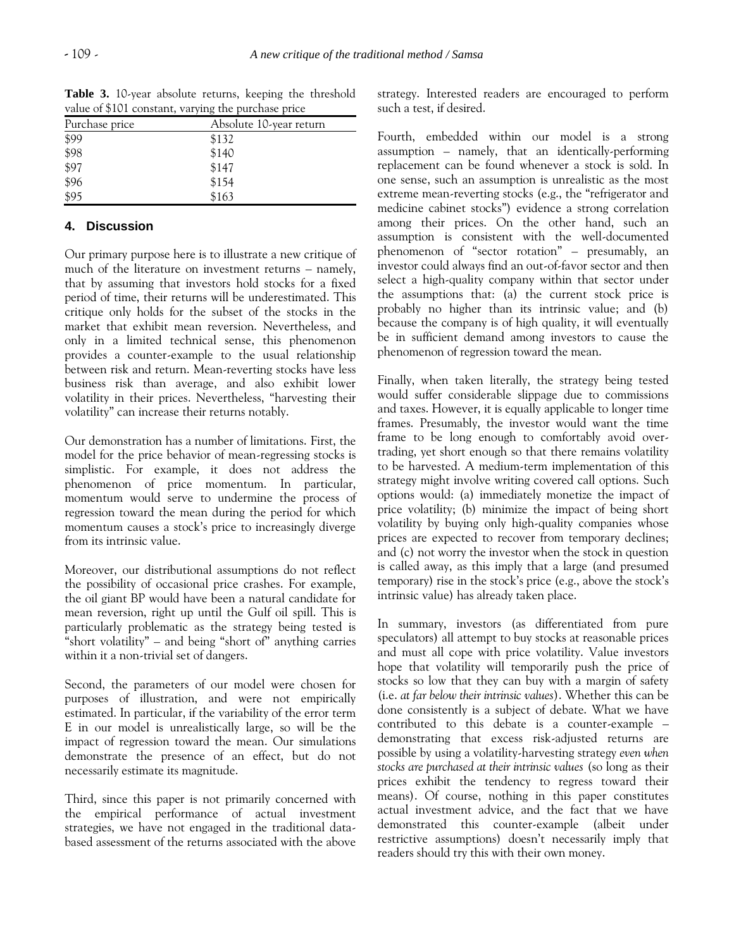| value of \$101 constant, varying the purchase price |                         |  |  |
|-----------------------------------------------------|-------------------------|--|--|
| Purchase price                                      | Absolute 10-year return |  |  |
| \$99                                                | \$132                   |  |  |
| \$98                                                | \$140                   |  |  |
| \$97                                                | \$147                   |  |  |
| \$96                                                | \$154                   |  |  |
| \$95                                                | \$163                   |  |  |

**Table 3.** 10-year absolute returns, keeping the threshold value of \$101 constant, varying the purchase price

#### **4. Discussion**

Our primary purpose here is to illustrate a new critique of much of the literature on investment returns – namely, that by assuming that investors hold stocks for a fixed period of time, their returns will be underestimated. This critique only holds for the subset of the stocks in the market that exhibit mean reversion. Nevertheless, and only in a limited technical sense, this phenomenon provides a counter-example to the usual relationship between risk and return. Mean-reverting stocks have less business risk than average, and also exhibit lower volatility in their prices. Nevertheless, "harvesting their volatility" can increase their returns notably.

Our demonstration has a number of limitations. First, the model for the price behavior of mean-regressing stocks is simplistic. For example, it does not address the phenomenon of price momentum. In particular, momentum would serve to undermine the process of regression toward the mean during the period for which momentum causes a stock's price to increasingly diverge from its intrinsic value.

Moreover, our distributional assumptions do not reflect the possibility of occasional price crashes. For example, the oil giant BP would have been a natural candidate for mean reversion, right up until the Gulf oil spill. This is particularly problematic as the strategy being tested is "short volatility" – and being "short of" anything carries within it a non-trivial set of dangers.

Second, the parameters of our model were chosen for purposes of illustration, and were not empirically estimated. In particular, if the variability of the error term E in our model is unrealistically large, so will be the impact of regression toward the mean. Our simulations demonstrate the presence of an effect, but do not necessarily estimate its magnitude.

Third, since this paper is not primarily concerned with the empirical performance of actual investment strategies, we have not engaged in the traditional databased assessment of the returns associated with the above strategy. Interested readers are encouraged to perform such a test, if desired.

Fourth, embedded within our model is a strong assumption – namely, that an identically-performing replacement can be found whenever a stock is sold. In one sense, such an assumption is unrealistic as the most extreme mean-reverting stocks (e.g., the "refrigerator and medicine cabinet stocks") evidence a strong correlation among their prices. On the other hand, such an assumption is consistent with the well-documented phenomenon of "sector rotation" – presumably, an investor could always find an out-of-favor sector and then select a high-quality company within that sector under the assumptions that: (a) the current stock price is probably no higher than its intrinsic value; and (b) because the company is of high quality, it will eventually be in sufficient demand among investors to cause the phenomenon of regression toward the mean.

Finally, when taken literally, the strategy being tested would suffer considerable slippage due to commissions and taxes. However, it is equally applicable to longer time frames. Presumably, the investor would want the time frame to be long enough to comfortably avoid overtrading, yet short enough so that there remains volatility to be harvested. A medium-term implementation of this strategy might involve writing covered call options. Such options would: (a) immediately monetize the impact of price volatility; (b) minimize the impact of being short volatility by buying only high-quality companies whose prices are expected to recover from temporary declines; and (c) not worry the investor when the stock in question is called away, as this imply that a large (and presumed temporary) rise in the stock's price (e.g., above the stock's intrinsic value) has already taken place.

In summary, investors (as differentiated from pure speculators) all attempt to buy stocks at reasonable prices and must all cope with price volatility. Value investors hope that volatility will temporarily push the price of stocks so low that they can buy with a margin of safety (i.e. *at far below their intrinsic values*). Whether this can be done consistently is a subject of debate. What we have contributed to this debate is a counter-example – demonstrating that excess risk-adjusted returns are possible by using a volatility-harvesting strategy *even when stocks are purchased at their intrinsic values* (so long as their prices exhibit the tendency to regress toward their means). Of course, nothing in this paper constitutes actual investment advice, and the fact that we have demonstrated this counter-example (albeit under restrictive assumptions) doesn't necessarily imply that readers should try this with their own money.